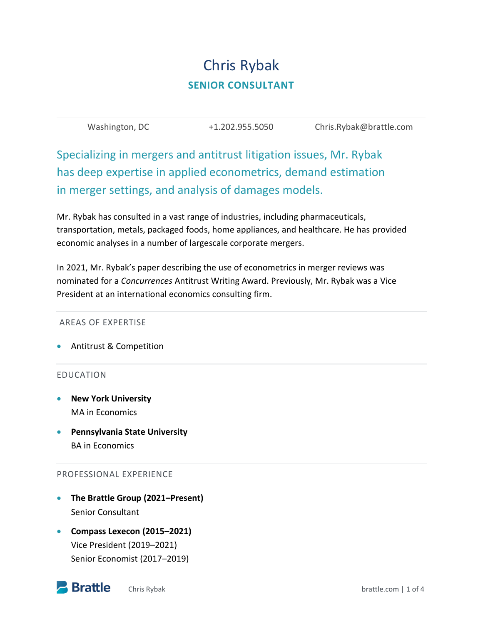# Chris Rybak **SENIOR CONSULTANT**

| Washington, DC | +1.202.955.5050 | Chris.Rybak@brattle.com |
|----------------|-----------------|-------------------------|
|----------------|-----------------|-------------------------|

Specializing in mergers and antitrust litigation issues, Mr. Rybak has deep expertise in applied econometrics, demand estimation in merger settings, and analysis of damages models.

Mr. Rybak has consulted in a vast range of industries, including pharmaceuticals, transportation, metals, packaged foods, home appliances, and healthcare. He has provided economic analyses in a number of largescale corporate mergers.

In 2021, Mr. Rybak's paper describing the use of econometrics in merger reviews was nominated for a *Concurrences* Antitrust Writing Award. Previously, Mr. Rybak was a Vice President at an international economics consulting firm.

#### AREAS OF EXPERTISE

Antitrust & Competition

#### EDUCATION

- **New York University** MA in Economics
- **Pennsylvania State University** BA in Economics

#### PROFESSIONAL EXPERIENCE

- **The Brattle Group (2021–Present)** Senior Consultant
- **Compass Lexecon (2015–2021)** Vice President (2019–2021) Senior Economist (2017–2019)

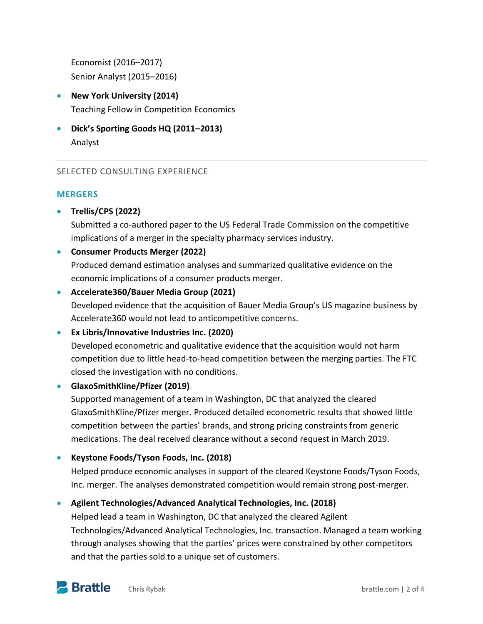Economist (2016–2017) Senior Analyst (2015–2016)

- **New York University (2014)** Teaching Fellow in Competition Economics
- **Dick's Sporting Goods HQ (2011–2013)** Analyst

# SELECTED CONSULTING EXPERIENCE

# **MERGERS**

**Trellis/CPS (2022)**

Submitted a co-authored paper to the US Federal Trade Commission on the competitive implications of a merger in the specialty pharmacy services industry.

# **Consumer Products Merger (2022)**

Produced demand estimation analyses and summarized qualitative evidence on the economic implications of a consumer products merger.

- **Accelerate360/Bauer Media Group (2021)**  Developed evidence that the acquisition of Bauer Media Group's US magazine business by Accelerate360 would not lead to anticompetitive concerns.
- **Ex Libris/Innovative Industries Inc. (2020)**  Developed econometric and qualitative evidence that the acquisition would not harm competition due to little head-to-head competition between the merging parties. The FTC closed the investigation with no conditions.

## **GlaxoSmithKline/Pfizer (2019)**

Supported management of a team in Washington, DC that analyzed the cleared GlaxoSmithKline/Pfizer merger. Produced detailed econometric results that showed little competition between the parties' brands, and strong pricing constraints from generic medications. The deal received clearance without a second request in March 2019.

**Keystone Foods/Tyson Foods, Inc. (2018)**

Helped produce economic analyses in support of the cleared Keystone Foods/Tyson Foods, Inc. merger. The analyses demonstrated competition would remain strong post-merger.

# **Agilent Technologies/Advanced Analytical Technologies, Inc. (2018)**

Helped lead a team in Washington, DC that analyzed the cleared Agilent Technologies/Advanced Analytical Technologies, Inc. transaction. Managed a team working through analyses showing that the parties' prices were constrained by other competitors and that the parties sold to a unique set of customers.

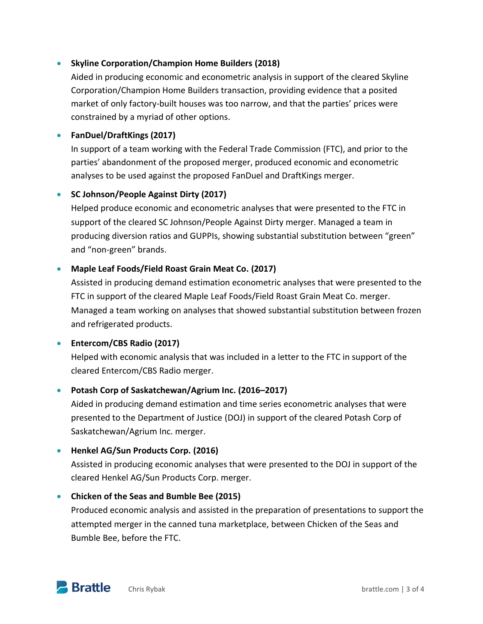# **Skyline Corporation/Champion Home Builders (2018)**

Aided in producing economic and econometric analysis in support of the cleared Skyline Corporation/Champion Home Builders transaction, providing evidence that a posited market of only factory-built houses was too narrow, and that the parties' prices were constrained by a myriad of other options.

# **FanDuel/DraftKings (2017)**

In support of a team working with the Federal Trade Commission (FTC), and prior to the parties' abandonment of the proposed merger, produced economic and econometric analyses to be used against the proposed FanDuel and DraftKings merger.

# **SC Johnson/People Against Dirty (2017)**

Helped produce economic and econometric analyses that were presented to the FTC in support of the cleared SC Johnson/People Against Dirty merger. Managed a team in producing diversion ratios and GUPPIs, showing substantial substitution between "green" and "non-green" brands.

# **Maple Leaf Foods/Field Roast Grain Meat Co. (2017)**

Assisted in producing demand estimation econometric analyses that were presented to the FTC in support of the cleared Maple Leaf Foods/Field Roast Grain Meat Co. merger. Managed a team working on analyses that showed substantial substitution between frozen and refrigerated products.

## **Entercom/CBS Radio (2017)**

Helped with economic analysis that was included in a letter to the FTC in support of the cleared Entercom/CBS Radio merger.

# **Potash Corp of Saskatchewan/Agrium Inc. (2016–2017)**

Aided in producing demand estimation and time series econometric analyses that were presented to the Department of Justice (DOJ) in support of the cleared Potash Corp of Saskatchewan/Agrium Inc. merger.

## **Henkel AG/Sun Products Corp. (2016)**

Assisted in producing economic analyses that were presented to the DOJ in support of the cleared Henkel AG/Sun Products Corp. merger.

## **Chicken of the Seas and Bumble Bee (2015)**

Produced economic analysis and assisted in the preparation of presentations to support the attempted merger in the canned tuna marketplace, between Chicken of the Seas and Bumble Bee, before the FTC.